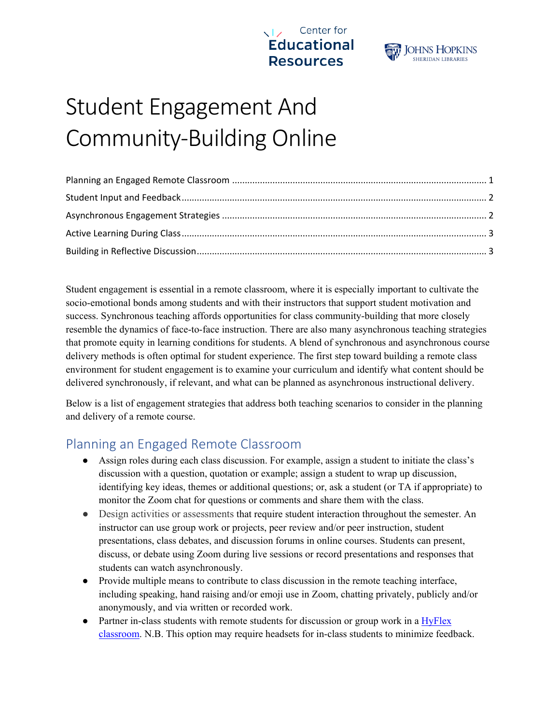



# Student Engagement And Community-Building Online

Student engagement is essential in a remote classroom, where it is especially important to cultivate the socio-emotional bonds among students and with their instructors that support student motivation and success. Synchronous teaching affords opportunities for class community-building that more closely resemble the dynamics of face-to-face instruction. There are also many asynchronous teaching strategies that promote equity in learning conditions for students. A blend of synchronous and asynchronous course delivery methods is often optimal for student experience. The first step toward building a remote class environment for student engagement is to examine your curriculum and identify what content should be delivered synchronously, if relevant, and what can be planned as asynchronous instructional delivery.

Below is a list of engagement strategies that address both teaching scenarios to consider in the planning and delivery of a remote course.

#### <span id="page-0-0"></span>Planning an Engaged Remote Classroom

- Assign roles during each class discussion. For example, assign a student to initiate the class's discussion with a question, quotation or example; assign a student to wrap up discussion, identifying key ideas, themes or additional questions; or, ask a student (or TA if appropriate) to monitor the Zoom chat for questions or comments and share them with the class.
- Design activities or assessments that require student interaction throughout the semester. An instructor can use group work or projects, peer review and/or peer instruction, student presentations, class debates, and discussion forums in online courses. Students can present, discuss, or debate using Zoom during live sessions or record presentations and responses that students can watch asynchronously.
- Provide multiple means to contribute to class discussion in the remote teaching interface, including speaking, hand raising and/or emoji use in Zoom, chatting privately, publicly and/or anonymously, and via written or recorded work.
- Partner in-class students with remote students for discussion or group work in a HyFlex [classroom.](https://www.insidehighered.com/blogs/learning-innovation/fall-scenario-13-hyflex-model) N.B. This option may require headsets for in-class students to minimize feedback.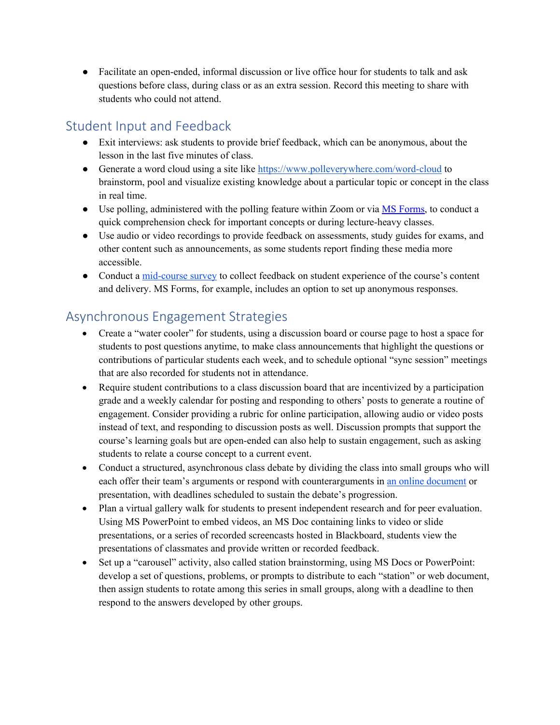• Facilitate an open-ended, informal discussion or live office hour for students to talk and ask questions before class, during class or as an extra session. Record this meeting to share with students who could not attend.

# <span id="page-1-0"></span>Student Input and Feedback

- Exit interviews: ask students to provide brief feedback, which can be anonymous, about the lesson in the last five minutes of class.
- Generate a word cloud using a site like<https://www.polleverywhere.com/word-cloud>to brainstorm, pool and visualize existing knowledge about a particular topic or concept in the class in real time.
- Use polling, administered with the polling feature within Zoom or via [MS Forms,](https://support.microsoft.com/en-us/office/microsoft-forms-for-education-8580c114-fae7-4f3c-9c18-9db984f3d547) to conduct a quick comprehension check for important concepts or during lecture-heavy classes.
- Use audio or video recordings to provide feedback on assessments, study guides for exams, and other content such as announcements, as some students report finding these media more accessible.
- Conduct a [mid-course survey](https://cer.jhu.edu/teaching/pre-or-early-semester-surveys) to collect feedback on student experience of the course's content and delivery. MS Forms, for example, includes an option to set up anonymous responses.

# <span id="page-1-1"></span>Asynchronous Engagement Strategies

- Create a "water cooler" for students, using a discussion board or course page to host a space for students to post questions anytime, to make class announcements that highlight the questions or contributions of particular students each week, and to schedule optional "sync session" meetings that are also recorded for students not in attendance.
- Require student contributions to a class discussion board that are incentivized by a participation grade and a weekly calendar for posting and responding to others' posts to generate a routine of engagement. Consider providing a rubric for online participation, allowing audio or video posts instead of text, and responding to discussion posts as well. Discussion prompts that support the course's learning goals but are open-ended can also help to sustain engagement, such as asking students to relate a course concept to a current event.
- Conduct a structured, asynchronous class debate by dividing the class into small groups who will each offer their team's arguments or respond with counterarguments in [an online document](https://cer.jhu.edu/tools-and-tech/onedrive) or presentation, with deadlines scheduled to sustain the debate's progression.
- Plan a virtual gallery walk for students to present independent research and for peer evaluation. Using MS PowerPoint to embed videos, an MS Doc containing links to video or slide presentations, or a series of recorded screencasts hosted in Blackboard, students view the presentations of classmates and provide written or recorded feedback.
- Set up a "carousel" activity, also called station brainstorming, using MS Docs or PowerPoint: develop a set of questions, problems, or prompts to distribute to each "station" or web document, then assign students to rotate among this series in small groups, along with a deadline to then respond to the answers developed by other groups.